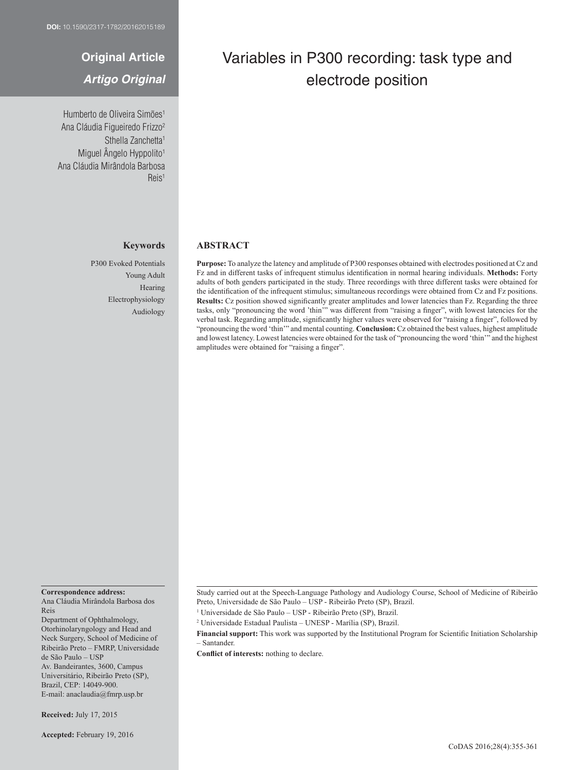# **Original Article**

## *Artigo Original*

Humberto de Oliveira Simões<sup>1</sup> Ana Cláudia Figueiredo Frizzo2 Sthella Zanchetta<sup>1</sup> Miguel Ângelo Hyppolito<sup>1</sup> Ana Cláudia Mirândola Barbosa Reis1

## **Keywords**

P300 Evoked Potentials Young Adult Hearing Electrophysiology Audiology

# Variables in P300 recording: task type and electrode position

## **ABSTRACT**

**Purpose:** To analyze the latency and amplitude of P300 responses obtained with electrodes positioned at Cz and Fz and in different tasks of infrequent stimulus identification in normal hearing individuals. **Methods:** Forty adults of both genders participated in the study. Three recordings with three different tasks were obtained for the identification of the infrequent stimulus; simultaneous recordings were obtained from Cz and Fz positions. **Results:** Cz position showed significantly greater amplitudes and lower latencies than Fz. Regarding the three tasks, only "pronouncing the word 'thin'" was different from "raising a finger", with lowest latencies for the verbal task. Regarding amplitude, significantly higher values were observed for "raising a finger", followed by "pronouncing the word 'thin'" and mental counting. **Conclusion:** Cz obtained the best values, highest amplitude and lowest latency. Lowest latencies were obtained for the task of "pronouncing the word 'thin'" and the highest amplitudes were obtained for "raising a finger".

#### **Correspondence address:**

Ana Cláudia Mirândola Barbosa dos Reis

Department of Ophthalmology, Otorhinolaryngology and Head and Neck Surgery, School of Medicine of Ribeirão Preto – FMRP, Universidade de São Paulo – USP Av. Bandeirantes, 3600, Campus Universitário, Ribeirão Preto (SP), Brazil, CEP: 14049-900. E-mail: anaclaudia@fmrp.usp.br

**Received:** July 17, 2015

Study carried out at the Speech-Language Pathology and Audiology Course, School of Medicine of Ribeirão Preto, Universidade de São Paulo – USP - Ribeirão Preto (SP), Brazil.

<sup>1</sup> Universidade de São Paulo – USP - Ribeirão Preto (SP), Brazil.

<sup>2</sup> Universidade Estadual Paulista – UNESP - Marília (SP), Brazil.

**Financial support:** This work was supported by the Institutional Program for Scientific Initiation Scholarship – Santander.

**Conflict of interests:** nothing to declare.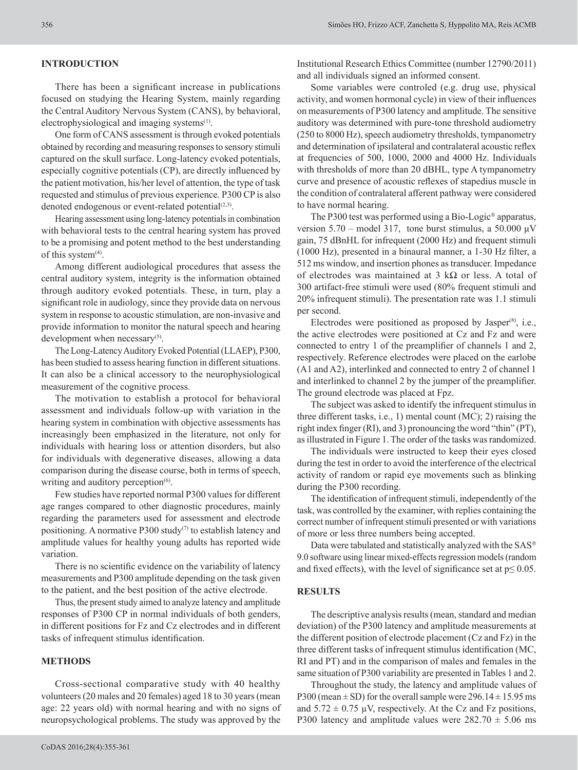## **INTRODUCTION**

There has been a significant increase in publications focused on studying the Hearing System, mainly regarding the Central Auditory Nervous System (CANS), by behavioral, electrophysiological and imaging systems<sup>(1)</sup>.

One form of CANS assessment is through evoked potentials obtained by recording and measuring responses to sensory stimuli captured on the skull surface. Long-latency evoked potentials, especially cognitive potentials (CP), are directly influenced by the patient motivation, his/her level of attention, the type of task requested and stimulus of previous experience. P300 CP is also denoted endogenous or event-related potential $(2,3)$ .

Hearing assessment using long-latency potentials in combination with behavioral tests to the central hearing system has proved to be a promising and potent method to the best understanding of this system $(4)$ .

Among different audiological procedures that assess the central auditory system, integrity is the information obtained through auditory evoked potentials. These, in turn, play a significant role in audiology, since they provide data on nervous system in response to acoustic stimulation, are non-invasive and provide information to monitor the natural speech and hearing development when necessary<sup>(5)</sup>.

The Long-Latency Auditory Evoked Potential (LLAEP), P300, has been studied to assess hearing function in different situations. It can also be a clinical accessory to the neurophysiological measurement of the cognitive process.

The motivation to establish a protocol for behavioral assessment and individuals follow-up with variation in the hearing system in combination with objective assessments has increasingly been emphasized in the literature, not only for individuals with hearing loss or attention disorders, but also for individuals with degenerative diseases, allowing a data comparison during the disease course, both in terms of speech, writing and auditory perception<sup>(6)</sup>.

Few studies have reported normal P300 values for different age ranges compared to other diagnostic procedures, mainly regarding the parameters used for assessment and electrode positioning. A normative P300 study $(7)$  to establish latency and amplitude values for healthy young adults has reported wide variation.

There is no scientific evidence on the variability of latency measurements and P300 amplitude depending on the task given to the patient, and the best position of the active electrode.

Thus, the present study aimed to analyze latency and amplitude responses of P300 CP in normal individuals of both genders, in different positions for Fz and Cz electrodes and in different tasks of infrequent stimulus identification.

## **METHODS**

Cross-sectional comparative study with 40 healthy volunteers (20 males and 20 females) aged 18 to 30 years (mean age: 22 years old) with normal hearing and with no signs of neuropsychological problems. The study was approved by the

Institutional Research Ethics Committee (number 12790/2011) and all individuals signed an informed consent.

Some variables were controled (e.g. drug use, physical activity, and women hormonal cycle) in view of their influences on measurements of P300 latency and amplitude. The sensitive auditory was determined with pure-tone threshold audiometry (250 to 8000 Hz), speech audiometry thresholds, tympanometry and determination of ipsilateral and contralateral acoustic reflex at frequencies of 500, 1000, 2000 and 4000 Hz. Individuals with thresholds of more than 20 dBHL, type A tympanometry curve and presence of acoustic reflexes of stapedius muscle in the condition of contralateral afferent pathway were considered to have normal hearing.

The P300 test was performed using a Bio-Logic<sup>®</sup> apparatus, version  $5.70$  – model 317, tone burst stimulus, a 50.000  $\mu$ V gain, 75 dBnHL for infrequent (2000 Hz) and frequent stimuli (1000 Hz), presented in a binaural manner, a 1-30 Hz filter, a 512 ms window, and insertion phones as transducer. Impedance of electrodes was maintained at 3 k $\Omega$  or less. A total of 300 artifact-free stimuli were used (80% frequent stimuli and 20% infrequent stimuli). The presentation rate was 1.1 stimuli per second.

Electrodes were positioned as proposed by Jasper<sup>(8)</sup>, i.e., the active electrodes were positioned at Cz and Fz and were connected to entry 1 of the preamplifier of channels 1 and 2, respectively. Reference electrodes were placed on the earlobe (A1 and A2), interlinked and connected to entry 2 of channel 1 and interlinked to channel 2 by the jumper of the preamplifier. The ground electrode was placed at Fpz.

The subject was asked to identify the infrequent stimulus in three different tasks, i.e., 1) mental count (MC); 2) raising the right index finger (RI), and 3) pronouncing the word "thin" (PT), as illustrated in Figure 1. The order of the tasks was randomized.

The individuals were instructed to keep their eyes closed during the test in order to avoid the interference of the electrical activity of random or rapid eye movements such as blinking during the P300 recording.

The identification of infrequent stimuli, independently of the task, was controlled by the examiner, with replies containing the correct number of infrequent stimuli presented or with variations of more or less three numbers being accepted.

Data were tabulated and statistically analyzed with the SAS 9.0 software using linear mixed-effects regression models (random and fixed effects), with the level of significance set at  $p \le 0.05$ .

### **RESULTS**

The descriptive analysis results (mean, standard and median deviation) of the P300 latency and amplitude measurements at the different position of electrode placement (Cz and Fz) in the three different tasks of infrequent stimulus identification (MC, RI and PT) and in the comparison of males and females in the same situation of P300 variability are presented in Tables 1 and 2.

Throughout the study, the latency and amplitude values of P300 (mean  $\pm$  SD) for the overall sample were 296.14  $\pm$  15.95 ms and  $5.72 \pm 0.75$  µV, respectively. At the Cz and Fz positions, P300 latency and amplitude values were  $282.70 \pm 5.06$  ms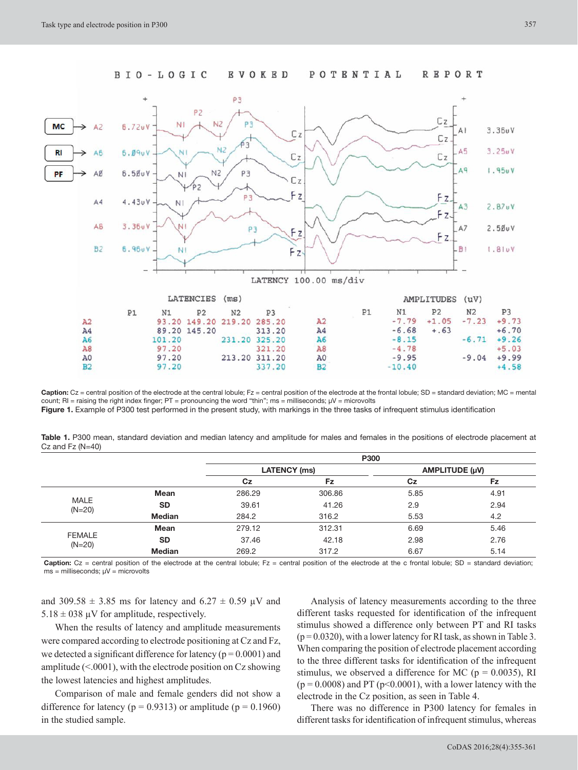

Caption: Cz = central position of the electrode at the central lobule; Fz = central position of the electrode at the frontal lobule; SD = standard deviation; MC = mental count; RI = raising the right index finger; PT = pronouncing the word "thin"; ms = milliseconds;  $\mu$ V = microvolts **Figure 1.** Example of P300 test performed in the present study, with markings in the three tasks of infrequent stimulus identification

**Table 1.** P300 mean, standard deviation and median latency and amplitude for males and females in the positions of electrode placement at Cz and Fz (N=40)

|                           |               | P300                |        |                |      |
|---------------------------|---------------|---------------------|--------|----------------|------|
|                           |               | <b>LATENCY</b> (ms) |        | AMPLITUDE (µV) |      |
|                           |               | Cz                  | Fz     | Cz             | Fz   |
|                           | Mean          | 286.29              | 306.86 | 5.85           | 4.91 |
| <b>MALE</b><br>$(N=20)$   | <b>SD</b>     | 39.61               | 41.26  | 2.9            | 2.94 |
|                           | <b>Median</b> | 284.2               | 316.2  | 5.53           | 4.2  |
|                           | <b>Mean</b>   | 279.12              | 312.31 | 6.69           | 5.46 |
| <b>FEMALE</b><br>$(N=20)$ | <b>SD</b>     | 37.46               | 42.18  | 2.98           | 2.76 |
|                           | <b>Median</b> | 269.2               | 317.2  | 6.67           | 5.14 |

Caption: Cz = central position of the electrode at the central lobule; Fz = central position of the electrode at the c frontal lobule; SD = standard deviation;  $ms =$  milliseconds;  $\mu V =$  microvolts

and 309.58  $\pm$  3.85 ms for latency and 6.27  $\pm$  0.59 µV and  $5.18 \pm 0.38$  µV for amplitude, respectively.

When the results of latency and amplitude measurements were compared according to electrode positioning at Cz and Fz, we detected a significant difference for latency ( $p = 0.0001$ ) and amplitude  $(< 0001$ ), with the electrode position on Cz showing the lowest latencies and highest amplitudes.

Comparison of male and female genders did not show a difference for latency ( $p = 0.9313$ ) or amplitude ( $p = 0.1960$ ) in the studied sample.

Analysis of latency measurements according to the three different tasks requested for identification of the infrequent stimulus showed a difference only between PT and RI tasks  $(p = 0.0320)$ , with a lower latency for RI task, as shown in Table 3. When comparing the position of electrode placement according to the three different tasks for identification of the infrequent stimulus, we observed a difference for MC ( $p = 0.0035$ ), RI  $(p = 0.0008)$  and PT ( $p < 0.0001$ ), with a lower latency with the electrode in the Cz position, as seen in Table 4.

There was no difference in P300 latency for females in different tasks for identification of infrequent stimulus, whereas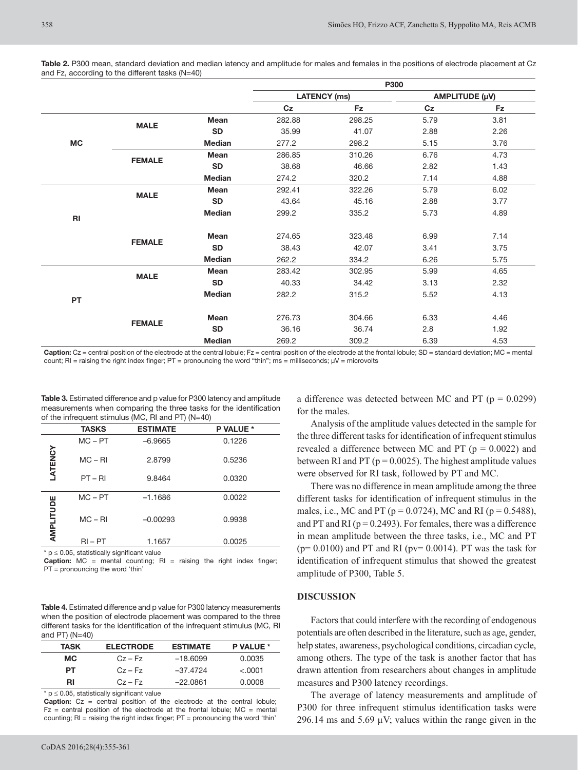**Table 2.** P300 mean, standard deviation and median latency and amplitude for males and females in the positions of electrode placement at Cz and Fz, according to the different tasks (N=40)

|           |               |               | P300                |        |                |           |
|-----------|---------------|---------------|---------------------|--------|----------------|-----------|
|           |               |               | <b>LATENCY (ms)</b> |        | AMPLITUDE (µV) |           |
|           |               |               | C <sub>Z</sub>      | Fz     | C <sub>Z</sub> | <b>Fz</b> |
|           |               | <b>Mean</b>   | 282.88              | 298.25 | 5.79           | 3.81      |
|           | <b>MALE</b>   | <b>SD</b>     | 35.99               | 41.07  | 2.88           | 2.26      |
| <b>MC</b> |               | <b>Median</b> | 277.2               | 298.2  | 5.15           | 3.76      |
|           |               | <b>Mean</b>   | 286.85              | 310.26 | 6.76           | 4.73      |
|           | <b>FEMALE</b> | <b>SD</b>     | 38.68               | 46.66  | 2.82           | 1.43      |
|           |               | <b>Median</b> | 274.2               | 320.2  | 7.14           | 4.88      |
|           |               | <b>Mean</b>   | 292.41              | 322.26 | 5.79           | 6.02      |
|           | <b>MALE</b>   | <b>SD</b>     | 43.64               | 45.16  | 2.88           | 3.77      |
| R1        |               | <b>Median</b> | 299.2               | 335.2  | 5.73           | 4.89      |
|           |               | Mean          | 274.65              | 323.48 | 6.99           | 7.14      |
|           | <b>FEMALE</b> | <b>SD</b>     | 38.43               | 42.07  | 3.41           | 3.75      |
|           |               | <b>Median</b> | 262.2               | 334.2  | 6.26           | 5.75      |
|           |               | Mean          | 283.42              | 302.95 | 5.99           | 4.65      |
|           | <b>MALE</b>   | <b>SD</b>     | 40.33               | 34.42  | 3.13           | 2.32      |
| <b>PT</b> |               | <b>Median</b> | 282.2               | 315.2  | 5.52           | 4.13      |
|           |               | Mean          | 276.73              | 304.66 | 6.33           | 4.46      |
|           | <b>FEMALE</b> | <b>SD</b>     | 36.16               | 36.74  | 2.8            | 1.92      |
|           |               | <b>Median</b> | 269.2               | 309.2  | 6.39           | 4.53      |

**Caption:** Cz = central position of the electrode at the central lobule; Fz = central position of the electrode at the frontal lobule; SD = standard deviation; MC = mental count; RI = raising the right index finger; PT = pronouncing the word "thin"; ms = milliseconds;  $\mu$ V = microvolts

**Table 3.** Estimated difference and p value for P300 latency and amplitude measurements when comparing the three tasks for the identification of the infrequent stimulus (MC, RI and PT) (N=40)

|           | <b>TASKS</b> | <b>ESTIMATE</b> | P VALUE * |
|-----------|--------------|-----------------|-----------|
|           | $MC - PT$    | $-6.9665$       | 0.1226    |
| LATENCY   | $MC - RI$    | 2.8799          | 0.5236    |
|           | $PT - RI$    | 9.8464          | 0.0320    |
|           | $MC - PT$    | $-1.1686$       | 0.0022    |
| AMPLITUDE | $MC - RI$    | $-0.00293$      | 0.9938    |
|           | $RI - PT$    | 1.1657          | 0.0025    |

\* p ≤ 0.05, statistically significant value

**Caption:** MC = mental counting; RI = raising the right index finger; PT = pronouncing the word 'thin'

**Table 4.** Estimated difference and p value for P300 latency measurements when the position of electrode placement was compared to the three different tasks for the identification of the infrequent stimulus (MC, RI and PT) (N=40)

| <b>TASK</b> | <b>ELECTRODE</b> | <b>ESTIMATE</b> | P VALUE * |
|-------------|------------------|-----------------|-----------|
| MC.         | $Cz - Fz$        | $-18.6099$      | 0.0035    |
| PT.         | $Cz - Fz$        | $-37.4724$      | < 0.0001  |
| RI          | $Cz - Fz$        | $-22.0861$      | 0.0008    |
|             |                  |                 |           |

\* p ≤ 0.05, statistically significant value

**Caption:** Cz = central position of the electrode at the central lobule;  $Fz =$  central position of the electrode at the frontal lobule;  $MC =$  mental counting; RI = raising the right index finger; PT = pronouncing the word 'thin'

a difference was detected between MC and PT ( $p = 0.0299$ ) for the males.

Analysis of the amplitude values detected in the sample for the three different tasks for identification of infrequent stimulus revealed a difference between MC and PT ( $p = 0.0022$ ) and between RI and PT ( $p = 0.0025$ ). The highest amplitude values were observed for RI task, followed by PT and MC.

There was no difference in mean amplitude among the three different tasks for identification of infrequent stimulus in the males, i.e., MC and PT ( $p = 0.0724$ ), MC and RI ( $p = 0.5488$ ), and PT and RI ( $p = 0.2493$ ). For females, there was a difference in mean amplitude between the three tasks, i.e., MC and PT  $(p= 0.0100)$  and PT and RI ( $pv= 0.0014$ ). PT was the task for identification of infrequent stimulus that showed the greatest amplitude of P300, Table 5.

## **DISCUSSION**

Factors that could interfere with the recording of endogenous potentials are often described in the literature, such as age, gender, help states, awareness, psychological conditions, circadian cycle, among others. The type of the task is another factor that has drawn attention from researchers about changes in amplitude measures and P300 latency recordings.

The average of latency measurements and amplitude of P300 for three infrequent stimulus identification tasks were 296.14 ms and 5.69  $\mu$ V; values within the range given in the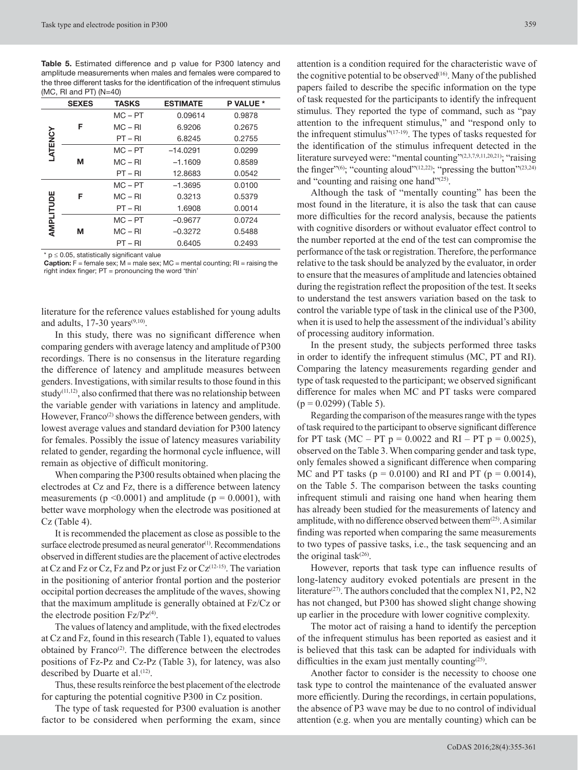**Table 5.** Estimated difference and p value for P300 latency and amplitude measurements when males and females were compared to the three different tasks for the identification of the infrequent stimulus  $(MC, RI$  and PT $(M=40)$ 

|           | <b>SEXES</b> | <b>TASKS</b> | <b>ESTIMATE</b> | <b>P VALUE *</b> |
|-----------|--------------|--------------|-----------------|------------------|
| LATENCY   | F            | $MC - PT$    | 0.09614         | 0.9878           |
|           |              | $MC - RI$    | 6.9206          | 0.2675           |
|           |              | $PT - RI$    | 6.8245          | 0.2755           |
|           | М            | $MC - PT$    | $-14.0291$      | 0.0299           |
|           |              | $MC - RI$    | $-1.1609$       | 0.8589           |
|           |              | $PT - RI$    | 12.8683         | 0.0542           |
| AMPLITUDE | F            | $MC - PT$    | $-1.3695$       | 0.0100           |
|           |              | $MC - RI$    | 0.3213          | 0.5379           |
|           |              | $PT - RI$    | 1.6908          | 0.0014           |
|           | м            | $MC - PT$    | $-0.9677$       | 0.0724           |
|           |              | $MC - RI$    | $-0.3272$       | 0.5488           |
|           |              | PT – RI      | 0.6405          | 0.2493           |

 $*$  p  $\leq$  0.05, statistically significant value

**Caption:** F = female sex; M = male sex; MC = mental counting; RI = raising the right index finger; PT = pronouncing the word 'thin'

literature for the reference values established for young adults and adults,  $17-30$  years<sup> $(9,10)$ </sup>.

In this study, there was no significant difference when comparing genders with average latency and amplitude of P300 recordings. There is no consensus in the literature regarding the difference of latency and amplitude measures between genders. Investigations, with similar results to those found in this study $(11, 12)$ , also confirmed that there was no relationship between the variable gender with variations in latency and amplitude. However, Franco<sup>(2)</sup> shows the difference between genders, with lowest average values and standard deviation for P300 latency for females. Possibly the issue of latency measures variability related to gender, regarding the hormonal cycle influence, will remain as objective of difficult monitoring.

When comparing the P300 results obtained when placing the electrodes at Cz and Fz, there is a difference between latency measurements ( $p \le 0.0001$ ) and amplitude ( $p = 0.0001$ ), with better wave morphology when the electrode was positioned at Cz (Table 4).

It is recommended the placement as close as possible to the surface electrode presumed as neural generator<sup>(1)</sup>. Recommendations observed in different studies are the placement of active electrodes at Cz and Fz or Cz, Fz and Pz or just Fz or  $Cz^{(12-15)}$ . The variation in the positioning of anterior frontal portion and the posterior occipital portion decreases the amplitude of the waves, showing that the maximum amplitude is generally obtained at Fz/Cz or the electrode position  $Fz/Pz^{(4)}$ .

The values of latency and amplitude, with the fixed electrodes at Cz and Fz, found in this research (Table 1), equated to values obtained by Franco<sup>(2)</sup>. The difference between the electrodes positions of Fz-Pz and Cz-Pz (Table 3), for latency, was also described by Duarte et al.<sup>(12)</sup>.

Thus, these results reinforce the best placement of the electrode for capturing the potential cognitive P300 in Cz position.

The type of task requested for P300 evaluation is another factor to be considered when performing the exam, since

attention is a condition required for the characteristic wave of the cognitive potential to be observed $(16)$ . Many of the published papers failed to describe the specific information on the type of task requested for the participants to identify the infrequent stimulus. They reported the type of command, such as "pay attention to the infrequent stimulus," and "respond only to the infrequent stimulus"<sup>(17-19)</sup>. The types of tasks requested for the identification of the stimulus infrequent detected in the literature surveyed were: "mental counting"<sup>(2,3,7,9,11,20,21)</sup>; "raising the finger"<sup>(6)</sup>; "counting aloud"<sup>(12,22)</sup>; "pressing the button"<sup>(23,24)</sup> and "counting and raising one hand"<sup>(25)</sup>.

Although the task of "mentally counting" has been the most found in the literature, it is also the task that can cause more difficulties for the record analysis, because the patients with cognitive disorders or without evaluator effect control to the number reported at the end of the test can compromise the performance of the task or registration. Therefore, the performance relative to the task should be analyzed by the evaluator, in order to ensure that the measures of amplitude and latencies obtained during the registration reflect the proposition of the test. It seeks to understand the test answers variation based on the task to control the variable type of task in the clinical use of the P300, when it is used to help the assessment of the individual's ability of processing auditory information.

In the present study, the subjects performed three tasks in order to identify the infrequent stimulus (MC, PT and RI). Comparing the latency measurements regarding gender and type of task requested to the participant; we observed significant difference for males when MC and PT tasks were compared  $(p = 0.0299)$  (Table 5).

Regarding the comparison of the measures range with the types of task required to the participant to observe significant difference for PT task (MC – PT  $p = 0.0022$  and RI – PT  $p = 0.0025$ ), observed on the Table 3. When comparing gender and task type, only females showed a significant difference when comparing MC and PT tasks ( $p = 0.0100$ ) and RI and PT ( $p = 0.0014$ ), on the Table 5. The comparison between the tasks counting infrequent stimuli and raising one hand when hearing them has already been studied for the measurements of latency and amplitude, with no difference observed between them $(25)$ . A similar finding was reported when comparing the same measurements to two types of passive tasks, i.e., the task sequencing and an the original task $(26)$ .

However, reports that task type can influence results of long-latency auditory evoked potentials are present in the literature<sup>(27)</sup>. The authors concluded that the complex N1, P2, N2 has not changed, but P300 has showed slight change showing up earlier in the procedure with lower cognitive complexity.

The motor act of raising a hand to identify the perception of the infrequent stimulus has been reported as easiest and it is believed that this task can be adapted for individuals with difficulties in the exam just mentally counting<sup>(25)</sup>.

Another factor to consider is the necessity to choose one task type to control the maintenance of the evaluated answer more efficiently. During the recordings, in certain populations, the absence of P3 wave may be due to no control of individual attention (e.g. when you are mentally counting) which can be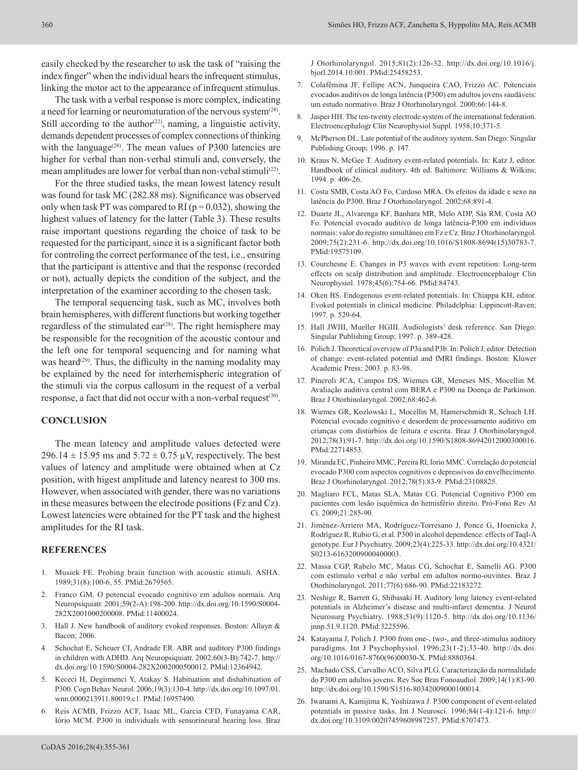easily checked by the researcher to ask the task of "raising the index finger" when the individual hears the infrequent stimulus, linking the motor act to the appearance of infrequent stimulus.

The task with a verbal response is more complex, indicating a need for learning or neuromaturation of the nervous system $^{(28)}$ . Still according to the author<sup> $(22)$ </sup>, naming, a linguistic activity, demands dependent processes of complex connections of thinking with the language<sup> $(28)$ </sup>. The mean values of P300 latencies are higher for verbal than non-verbal stimuli and, conversely, the mean amplitudes are lower for verbal than non-vebal stimuli<sup>(22)</sup>.

For the three studied tasks, the mean lowest latency result was found for task MC (282.88 ms). Significance was observed only when task PT was compared to RI ( $p = 0.032$ ), showing the highest values of latency for the latter (Table 3). These results raise important questions regarding the choice of task to be requested for the participant, since it is a significant factor both for controling the correct performance of the test, i.e., ensuring that the participant is attentive and that the response (recorded or not), actually depicts the condition of the subject, and the interpretation of the examiner according to the chosen task.

The temporal sequencing task, such as MC, involves both brain hemispheres, with different functions but working together regardless of the stimulated ear<sup> $(28)$ </sup>. The right hemisphere may be responsible for the recognition of the acoustic contour and the left one for temporal sequencing and for naming what was heard<sup> $(29)$ </sup>. Thus, the difficulty in the naming modality may be explained by the need for interhemispheric integration of the stimuli via the corpus callosum in the request of a verbal response, a fact that did not occur with a non-verbal request<sup>(30)</sup>.

## **CONCLUSION**

The mean latency and amplitude values detected were 296.14  $\pm$  15.95 ms and 5.72  $\pm$  0.75  $\mu$ V, respectively. The best values of latency and amplitude were obtained when at Cz position, with higest amplitude and latency nearest to 300 ms. However, when associated with gender, there was no variations in these measures between the electrode positions (Fz and Cz). Lowest latencies were obtained for the PT task and the highest amplitudes for the RI task.

## **REFERENCES**

- 1. Musiek FE. Probing brain function with acoustic stimuli. ASHA. 1989;31(8):100-6, 55[. PMid:2679565.](http://www.ncbi.nlm.nih.gov/entrez/query.fcgi?cmd=Retrieve&db=PubMed&list_uids=2679565&dopt=Abstract)
- 2. Franco GM. O potencial evocado cognitivo em adultos normais. Arq Neuropsiquiatr. 2001;59(2-A):198-200. [http://dx.doi.org/10.1590/S0004-](http://dx.doi.org/10.1590/S0004-282X2001000200008) [282X2001000200008](http://dx.doi.org/10.1590/S0004-282X2001000200008)[. PMid:11400024.](http://www.ncbi.nlm.nih.gov/entrez/query.fcgi?cmd=Retrieve&db=PubMed&list_uids=11400024&dopt=Abstract)
- 3. Hall J. New handbook of auditory evoked responses. Boston: Allayn & Bacon; 2006.
- 4. Schochat E, Scheuer CI, Andrade ER. ABR and auditory P300 findings in children with ADHD. Arq Neuropsiquiatr. 2002;60(3-B):742-7. [http://](http://dx.doi.org/10.1590/S0004-282X2002000500012) [dx.doi.org/10.1590/S0004-282X2002000500012.](http://dx.doi.org/10.1590/S0004-282X2002000500012) [PMid:12364942.](http://www.ncbi.nlm.nih.gov/entrez/query.fcgi?cmd=Retrieve&db=PubMed&list_uids=12364942&dopt=Abstract)
- 5. Kececi H, Degirmenci Y, Atakay S. Habituation and dishabituation of P300. Cogn Behav Neurol. 2006;19(3):130-4. [http://dx.doi.org/10.1097/01.](http://dx.doi.org/10.1097/01.wnn.0000213911.80019.c1) [wnn.0000213911.80019.c1.](http://dx.doi.org/10.1097/01.wnn.0000213911.80019.c1) [PMid:16957490.](http://www.ncbi.nlm.nih.gov/entrez/query.fcgi?cmd=Retrieve&db=PubMed&list_uids=16957490&dopt=Abstract)
- 6. Reis ACMB, Frizzo ACF, Isaac ML, Garcia CFD, Funayama CAR, Iório MCM. P300 in individuals with sensorineural hearing loss. Braz

J Otorhinolaryngol. 2015;81(2):126-32. [http://dx.doi.org/10.1016/j.](http://dx.doi.org/10.1016/j.bjorl.2014.10.001) [bjorl.2014.10.001](http://dx.doi.org/10.1016/j.bjorl.2014.10.001)[. PMid:25458253.](http://www.ncbi.nlm.nih.gov/entrez/query.fcgi?cmd=Retrieve&db=PubMed&list_uids=25458253&dopt=Abstract)

- 7. Colafêmina JF, Fellipe ACN, Junqueira CAO, Frizzo AC. Potenciais evocados auditivos de longa latência (P300) em adultos jovens saudáveis: um estudo normativo. Braz J Otorhinolaryngol. 2000;66:144-8.
- 8. Jasper HH. The ten-twenty electrode system of the international federation. Electroencephalogr Clin Neurophysiol Suppl. 1958;10:371-5.
- 9. McPherson DL. Late potential of the auditory system. San Diego: Singular Publishing Group; 1996. p. 147.
- 10. Kraus N, McGee T. Auditory event-related potentials. In: Katz J, editor. Handbook of clinical auditory. 4th ed. Baltimore: Williams & Wilkins; 1994. p. 406-26.
- 11. Costa SMB, Costa AO Fo, Cardoso MRA. Os efeitos da idade e sexo na latência do P300. Braz J Otorhinolaryngol. 2002;68:891-4.
- 12. Duarte JL, Alvarenga KF, Banhara MR, Melo ADP, Sás RM, Costa AO Fo. Potencial evocado auditivo de longa latência-P300 em indivíduos normais: valor do registro simultâneo em Fz e Cz. Braz J Otorhinolaryngol. 2009;75(2):231-6. [http://dx.doi.org/10.1016/S1808-8694\(15\)30783-7.](http://dx.doi.org/10.1016/S1808-8694(15)30783-7) [PMid:19575109.](http://www.ncbi.nlm.nih.gov/entrez/query.fcgi?cmd=Retrieve&db=PubMed&list_uids=19575109&dopt=Abstract)
- 13. Courchesne E. Changes in P3 waves with event repetition: Long-term effects on scalp distribution and amplitude. Electroencephalogr Clin Neurophysiol. 1978;45(6):754-66[. PMid:84743.](http://www.ncbi.nlm.nih.gov/entrez/query.fcgi?cmd=Retrieve&db=PubMed&list_uids=84743&dopt=Abstract)
- 14. Oken BS. Endogenous event-related potentials. In: Chiappa KH, editor. Evoked potentials in clinical medicine. Philadelphia: Lippincott-Raven; 1997. p. 529-64.
- 15. Hall JWIII, Mueller HGIII. Audiologists' desk reference. San Diego: Singular Publishing Group; 1997. p. 389-428.
- 16. Polich J. Theoretical overview of P3a and P3b. In: Polich J, editor. Detection of change: event-related potential and fMRI findings. Boston: Kluwer Academic Press; 2003. p. 83-98.
- 17. Pineroli JCA, Campos DS, Wiemes GR, Meneses MS, Mocellin M. Avaliação auditiva central com BERA e P300 na Doença de Parkinson. Braz J Otorhinolaryngol. 2002;68:462-6.
- 18. Wiemes GR, Kozlowski L, Mocellin M, Hamerschmidt R, Schuch LH. Potencial evocado cognitivo e desordem de processamento auditivo em crianças com distúrbios de leitura e escrita. Braz J Otorhinolaryngol. 2012;78(3):91-7. [http://dx.doi.org/10.1590/S1808-86942012000300016.](http://dx.doi.org/10.1590/S1808-86942012000300016) [PMid:22714853.](http://www.ncbi.nlm.nih.gov/entrez/query.fcgi?cmd=Retrieve&db=PubMed&list_uids=22714853&dopt=Abstract)
- 19. Miranda EC, Pinheiro MMC, Pereira RI, Iorio MMC. Correlação do potencial evocado P300 com aspectos cognitivos e depressivos do envelhecimento. Braz J Otorhinolaryngol. 2012;78(5):83-9. [PMid:23108825.](http://www.ncbi.nlm.nih.gov/entrez/query.fcgi?cmd=Retrieve&db=PubMed&list_uids=23108825&dopt=Abstract)
- 20. Magliaro FCL, Matas SLA, Matas CG. Potencial Cognitivo P300 em pacientes com lesão isquêmica do hemisfério direito. Pró-Fono Rev At Ci. 2009;21:285-90.
- 21. Jiménez-Arriero MA, Rodríguez-Torresano J, Ponce G, Hoenicka J, Rodríguez R, Rubio G, et al. P300 in alcohol dependence: effects of TaqI-A genotype. Eur J Psychiatry. 2009;23(4):225-33. [http://dx.doi.org/10.4321/](http://dx.doi.org/10.4321/S0213-61632009000400003) [S0213-61632009000400003](http://dx.doi.org/10.4321/S0213-61632009000400003).
- 22. Massa CGP, Rabelo MC, Matas CG, Schochat E, Samelli AG. P300 com estímulo verbal e não verbal em adultos normo-ouvintes. Braz J Otorhinolaryngol. 2011;77(6):686-90[. PMid:22183272.](http://www.ncbi.nlm.nih.gov/entrez/query.fcgi?cmd=Retrieve&db=PubMed&list_uids=22183272&dopt=Abstract)
- 23. Neshige R, Barrett G, Shibasaki H. Auditory long latency event-related potentials in Alzheimer's disease and multi-infarct dementia. J Neurol Neurosurg Psychiatry. 1988;51(9):1120-5. [http://dx.doi.org/10.1136/](http://dx.doi.org/10.1136/jnnp.51.9.1120) [jnnp.51.9.1120](http://dx.doi.org/10.1136/jnnp.51.9.1120)[. PMid:3225596.](http://www.ncbi.nlm.nih.gov/entrez/query.fcgi?cmd=Retrieve&db=PubMed&list_uids=3225596&dopt=Abstract)
- 24. Katayama J, Polich J. P300 from one-, two-, and three-stimulus auditory paradigms. Int J Psychophysiol. 1996;23(1-2):33-40. [http://dx.doi.](http://dx.doi.org/10.1016/0167-8760(96)00030-X) [org/10.1016/0167-8760\(96\)00030-X.](http://dx.doi.org/10.1016/0167-8760(96)00030-X) [PMid:8880364.](http://www.ncbi.nlm.nih.gov/entrez/query.fcgi?cmd=Retrieve&db=PubMed&list_uids=8880364&dopt=Abstract)
- 25. Machado CSS, Carvalho ACO, Silva PLG. Caracterização da normalidade do P300 em adultos jovens. Rev Soc Bras Fonoaudiol. 2009;14(1):83-90. [http://dx.doi.org/10.1590/S1516-80342009000100014.](http://dx.doi.org/10.1590/S1516-80342009000100014)
- 26. Iwanami A, Kamijima K, Yoshizawa J. P300 component of event-related potentials in passive tasks. Int J Neurosci. 1996;84(1-4):121-6. [http://](http://dx.doi.org/10.3109/00207459608987257) [dx.doi.org/10.3109/00207459608987257.](http://dx.doi.org/10.3109/00207459608987257) [PMid:8707473.](http://www.ncbi.nlm.nih.gov/entrez/query.fcgi?cmd=Retrieve&db=PubMed&list_uids=8707473&dopt=Abstract)